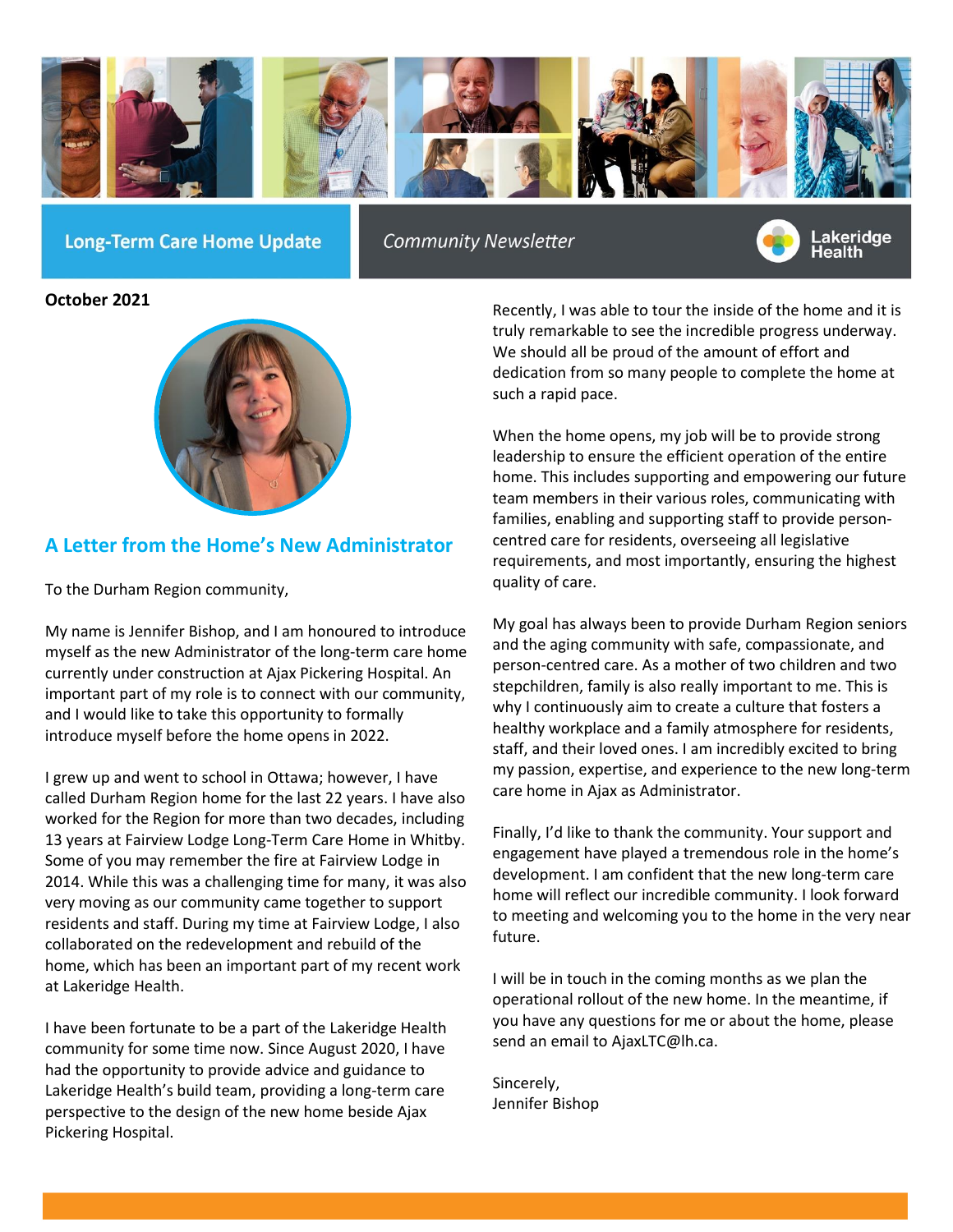

**Long-Term Care Home Update** 

**Community Newsletter** 



**October 2021**



# **A Letter from the Home's New Administrator**

To the Durham Region community,

My name is Jennifer Bishop, and I am honoured to introduce myself as the new Administrator of the long-term care home currently under construction at Ajax Pickering Hospital. An important part of my role is to connect with our community, and I would like to take this opportunity to formally introduce myself before the home opens in 2022.

I grew up and went to school in Ottawa; however, I have called Durham Region home for the last 22 years. I have also worked for the Region for more than two decades, including 13 years at Fairview Lodge Long-Term Care Home in Whitby. Some of you may remember the fire at Fairview Lodge in 2014. While this was a challenging time for many, it was also very moving as our community came together to support residents and staff. During my time at Fairview Lodge, I also collaborated on the redevelopment and rebuild of the home, which has been an important part of my recent work at Lakeridge Health.

I have been fortunate to be a part of the Lakeridge Health community for some time now. Since August 2020, I have had the opportunity to provide advice and guidance to Lakeridge Health's build team, providing a long-term care perspective to the design of the new home beside Ajax Pickering Hospital.

Recently, I was able to tour the inside of the home and it is truly remarkable to see the incredible progress underway. We should all be proud of the amount of effort and dedication from so many people to complete the home at such a rapid pace.

When the home opens, my job will be to provide strong leadership to ensure the efficient operation of the entire home. This includes supporting and empowering our future team members in their various roles, communicating with families, enabling and supporting staff to provide personcentred care for residents, overseeing all legislative requirements, and most importantly, ensuring the highest quality of care.

My goal has always been to provide Durham Region seniors and the aging community with safe, compassionate, and person-centred care. As a mother of two children and two stepchildren, family is also really important to me. This is why I continuously aim to create a culture that fosters a healthy workplace and a family atmosphere for residents, staff, and their loved ones. I am incredibly excited to bring my passion, expertise, and experience to the new long-term care home in Ajax as Administrator.

Finally, I'd like to thank the community. Your support and engagement have played a tremendous role in the home's development. I am confident that the new long-term care home will reflect our incredible community. I look forward to meeting and welcoming you to the home in the very near future.

I will be in touch in the coming months as we plan the operational rollout of the new home. In the meantime, if you have any questions for me or about the home, please send an email to AjaxLTC@lh.ca.

Sincerely, Jennifer Bishop